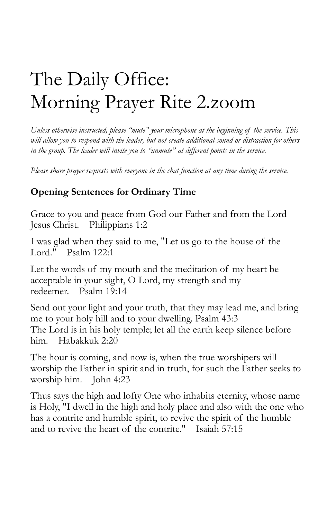# The Daily Office: Morning Prayer Rite 2.zoom

*Unless otherwise instructed, please "mute" your microphone at the beginning of the service. This will allow you to respond with the leader, but not create additional sound or distraction for others in the group. The leader will invite you to "unmute" at different points in the service.*

*Please share prayer requests with everyone in the chat function at any time during the service.*

## **Opening Sentences for Ordinary Time**

Grace to you and peace from God our Father and from the Lord Jesus Christ. Philippians 1:2

I was glad when they said to me, "Let us go to the house of the Lord." Psalm 122:1

Let the words of my mouth and the meditation of my heart be acceptable in your sight, O Lord, my strength and my redeemer. Psalm 19:14

Send out your light and your truth, that they may lead me, and bring me to your holy hill and to your dwelling. Psalm 43:3 The Lord is in his holy temple; let all the earth keep silence before him. Habakkuk 2:20

The hour is coming, and now is, when the true worshipers will worship the Father in spirit and in truth, for such the Father seeks to worship him. John 4:23

Thus says the high and lofty One who inhabits eternity, whose name is Holy, "I dwell in the high and holy place and also with the one who has a contrite and humble spirit, to revive the spirit of the humble and to revive the heart of the contrite." Isaiah 57:15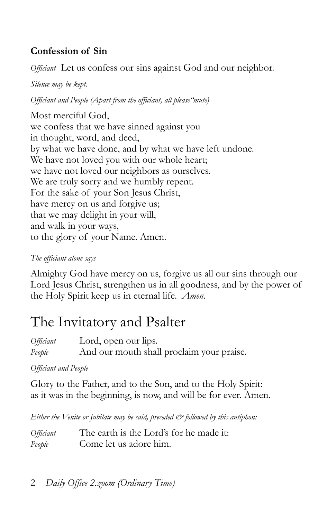## **Confession of Sin**

*Officiant* Let us confess our sins against God and our neighbor.

#### *Silence may be kept.*

*Officiant and People (Apart from the officiant, all please"mute)*

Most merciful God, we confess that we have sinned against you in thought, word, and deed, by what we have done, and by what we have left undone. We have not loved you with our whole heart; we have not loved our neighbors as ourselves. We are truly sorry and we humbly repent. For the sake of your Son Jesus Christ, have mercy on us and forgive us; that we may delight in your will, and walk in your ways, to the glory of your Name. Amen.

#### *The officiant alone says*

Almighty God have mercy on us, forgive us all our sins through our Lord Jesus Christ, strengthen us in all goodness, and by the power of the Holy Spirit keep us in eternal life. *Amen.*

# The Invitatory and Psalter

| Officiant | Lord, open our lips.                      |
|-----------|-------------------------------------------|
| People    | And our mouth shall proclaim your praise. |

#### *Officiant and People*

Glory to the Father, and to the Son, and to the Holy Spirit: as it was in the beginning, is now, and will be for ever. Amen.

*Either the Venite or Jubilate may be said, preceded & followed by this antiphon:*

| <i>Officiant</i> | The earth is the Lord's for he made it: |
|------------------|-----------------------------------------|
| People           | Come let us adore him.                  |

## 2 *Daily Office 2.zoom (Ordinary Time)*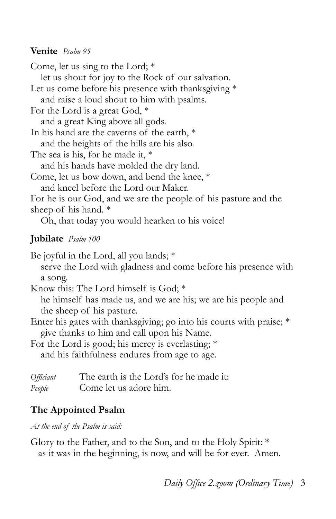#### **Venite** *Psalm 95*

Come, let us sing to the Lord; \* let us shout for joy to the Rock of our salvation. Let us come before his presence with thanksgiving \* and raise a loud shout to him with psalms. For the Lord is a great God, \* and a great King above all gods. In his hand are the caverns of the earth, \* and the heights of the hills are his also. The sea is his, for he made it, \* and his hands have molded the dry land. Come, let us bow down, and bend the knee, \* and kneel before the Lord our Maker. For he is our God, and we are the people of his pasture and the sheep of his hand. \* Oh, that today you would hearken to his voice!

#### **Jubilate** *Psalm 100*

Be joyful in the Lord, all you lands; \* serve the Lord with gladness and come before his presence with a song. Know this: The Lord himself is God; \* he himself has made us, and we are his; we are his people and the sheep of his pasture. Enter his gates with thanksgiving; go into his courts with praise; \* give thanks to him and call upon his Name. For the Lord is good; his mercy is everlasting; \* and his faithfulness endures from age to age.

| <i>Officiant</i> | The earth is the Lord's for he made it: |
|------------------|-----------------------------------------|
| People           | Come let us adore him.                  |

## **The Appointed Psalm**

*At the end of the Psalm is said:*

Glory to the Father, and to the Son, and to the Holy Spirit: \* as it was in the beginning, is now, and will be for ever. Amen.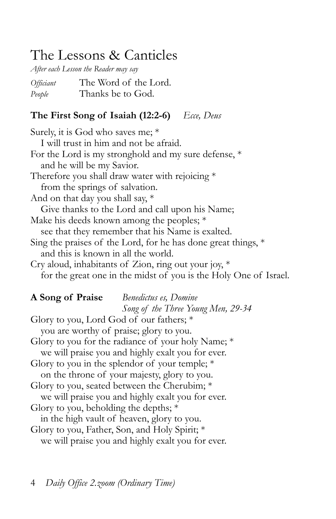# The Lessons & Canticles

*After each Lesson the Reader may say*

*Officiant* The Word of the Lord. *People* Thanks be to God.

#### **The First Song of Isaiah (12:2-6)** *Ecce, Deus*

Surely, it is God who saves me; \* I will trust in him and not be afraid. For the Lord is my stronghold and my sure defense, \* and he will be my Savior. Therefore you shall draw water with rejoicing \* from the springs of salvation. And on that day you shall say, \* Give thanks to the Lord and call upon his Name; Make his deeds known among the peoples; \* see that they remember that his Name is exalted. Sing the praises of the Lord, for he has done great things, \* and this is known in all the world. Cry aloud, inhabitants of Zion, ring out your joy, \* for the great one in the midst of you is the Holy One of Israel. **A Song of Praise** *Benedictus es, Domine Song of the Three Young Men, 29-34* Glory to you, Lord God of our fathers; \* you are worthy of praise; glory to you. Glory to you for the radiance of your holy Name; \* we will praise you and highly exalt you for ever. Glory to you in the splendor of your temple;  $*$  on the throne of your majesty, glory to you. Glory to you, seated between the Cherubim; \*

we will praise you and highly exalt you for ever.

Glory to you, beholding the depths;  $*$ 

in the high vault of heaven, glory to you.

Glory to you, Father, Son, and Holy Spirit; \* we will praise you and highly exalt you for ever.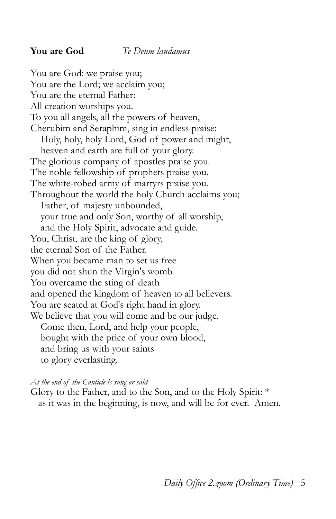You are God: we praise you; You are the Lord; we acclaim you; You are the eternal Father: All creation worships you. To you all angels, all the powers of heaven, Cherubim and Seraphim, sing in endless praise: Holy, holy, holy Lord, God of power and might, heaven and earth are full of your glory. The glorious company of apostles praise you. The noble fellowship of prophets praise you. The white-robed army of martyrs praise you. Throughout the world the holy Church acclaims you; Father, of majesty unbounded, your true and only Son, worthy of all worship, and the Holy Spirit, advocate and guide. You, Christ, are the king of glory, the eternal Son of the Father. When you became man to set us free you did not shun the Virgin's womb. You overcame the sting of death and opened the kingdom of heaven to all believers. You are seated at God's right hand in glory. We believe that you will come and be our judge. Come then, Lord, and help your people, bought with the price of your own blood, and bring us with your saints to glory everlasting.

#### *At the end of the Canticle is sung or said*

Glory to the Father, and to the Son, and to the Holy Spirit: \* as it was in the beginning, is now, and will be for ever. Amen.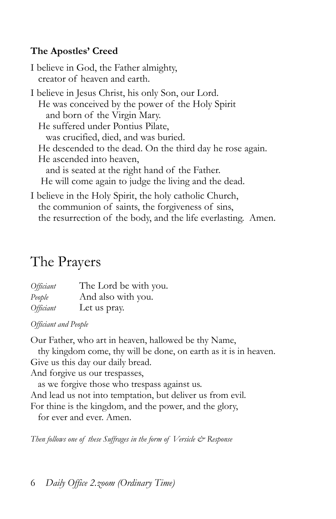#### **The Apostles' Creed**

I believe in God, the Father almighty, creator of heaven and earth. I believe in Jesus Christ, his only Son, our Lord. He was conceived by the power of the Holy Spirit and born of the Virgin Mary. He suffered under Pontius Pilate, was crucified, died, and was buried. He descended to the dead. On the third day he rose again. He ascended into heaven, and is seated at the right hand of the Father. He will come again to judge the living and the dead.

I believe in the Holy Spirit, the holy catholic Church, the communion of saints, the forgiveness of sins, the resurrection of the body, and the life everlasting. Amen.

# The Prayers

| <i>Officiant</i> | The Lord be with you. |
|------------------|-----------------------|
| People           | And also with you.    |
| Officiant        | Let us pray.          |

*Officiant and People*

Our Father, who art in heaven, hallowed be thy Name,

thy kingdom come, thy will be done, on earth as it is in heaven.

Give us this day our daily bread.

And forgive us our trespasses,

as we forgive those who trespass against us.

And lead us not into temptation, but deliver us from evil.

For thine is the kingdom, and the power, and the glory,

for ever and ever. Amen.

*Then follows one of these Suffrages in the form of Versicle & Response*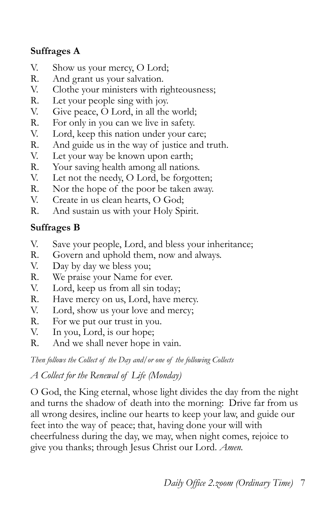#### **Suffrages A**

- V. Show us your mercy, O Lord;
- R. And grant us your salvation.
- V. Clothe your ministers with righteousness;
- R. Let your people sing with joy.
- V. Give peace, O Lord, in all the world;
- R. For only in you can we live in safety.
- V. Lord, keep this nation under your care;
- R. And guide us in the way of justice and truth.
- V. Let your way be known upon earth;
- R. Your saving health among all nations.
- V. Let not the needy, O Lord, be forgotten;
- R. Nor the hope of the poor be taken away.
- V. Create in us clean hearts, O God;
- R. And sustain us with your Holy Spirit.

## **Suffrages B**

- V. Save your people, Lord, and bless your inheritance;
- R. Govern and uphold them, now and always.
- V. Day by day we bless you;
- R. We praise your Name for ever.
- V. Lord, keep us from all sin today;
- R. Have mercy on us, Lord, have mercy.
- V. Lord, show us your love and mercy;
- R. For we put our trust in you.
- V. In you, Lord, is our hope;
- R. And we shall never hope in vain.

*Then follows the Collect of the Day and/or one of the following Collects*

*A Collect for the Renewal of Life (Monday)*

O God, the King eternal, whose light divides the day from the night and turns the shadow of death into the morning: Drive far from us all wrong desires, incline our hearts to keep your law, and guide our feet into the way of peace; that, having done your will with cheerfulness during the day, we may, when night comes, rejoice to give you thanks; through Jesus Christ our Lord. *Amen.*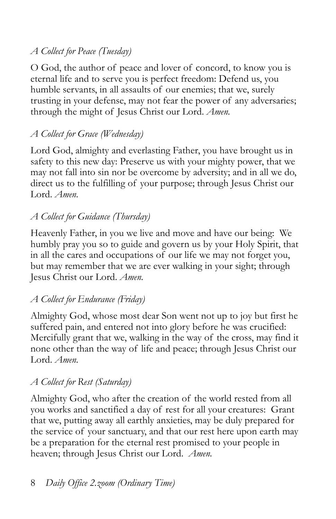## *A Collect for Peace (Tuesday)*

O God, the author of peace and lover of concord, to know you is eternal life and to serve you is perfect freedom: Defend us, you humble servants, in all assaults of our enemies; that we, surely trusting in your defense, may not fear the power of any adversaries; through the might of Jesus Christ our Lord. *Amen.* 

# *A Collect for Grace (Wednesday)*

Lord God, almighty and everlasting Father, you have brought us in safety to this new day: Preserve us with your mighty power, that we may not fall into sin nor be overcome by adversity; and in all we do, direct us to the fulfilling of your purpose; through Jesus Christ our Lord. *Amen.*

# *A Collect for Guidance (Thursday)*

Heavenly Father, in you we live and move and have our being: We humbly pray you so to guide and govern us by your Holy Spirit, that in all the cares and occupations of our life we may not forget you, but may remember that we are ever walking in your sight; through Jesus Christ our Lord. *Amen.*

# *A Collect for Endurance (Friday)*

Almighty God, whose most dear Son went not up to joy but first he suffered pain, and entered not into glory before he was crucified: Mercifully grant that we, walking in the way of the cross, may find it none other than the way of life and peace; through Jesus Christ our Lord. *Amen.*

# *A Collect for Rest (Saturday)*

Almighty God, who after the creation of the world rested from all you works and sanctified a day of rest for all your creatures: Grant that we, putting away all earthly anxieties, may be duly prepared for the service of your sanctuary, and that our rest here upon earth may be a preparation for the eternal rest promised to your people in heaven; through Jesus Christ our Lord. *Amen.*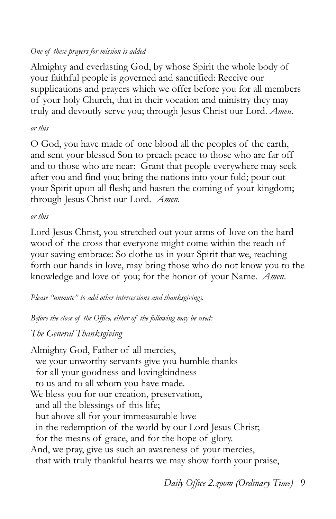#### *One of these prayers for mission is added*

Almighty and everlasting God, by whose Spirit the whole body of your faithful people is governed and sanctified: Receive our supplications and prayers which we offer before you for all members of your holy Church, that in their vocation and ministry they may truly and devoutly serve you; through Jesus Christ our Lord. *Amen*.

*or this*

O God, you have made of one blood all the peoples of the earth, and sent your blessed Son to preach peace to those who are far off and to those who are near: Grant that people everywhere may seek after you and find you; bring the nations into your fold; pour out your Spirit upon all flesh; and hasten the coming of your kingdom; through Jesus Christ our Lord. *Amen.*

*or this*

Lord Jesus Christ, you stretched out your arms of love on the hard wood of the cross that everyone might come within the reach of your saving embrace: So clothe us in your Spirit that we, reaching forth our hands in love, may bring those who do not know you to the knowledge and love of you; for the honor of your Name. *Amen*.

*Please "unmute" to add other intercessions and thanksgivings.*

*Before the close of the Office, either of the following may be used:*

*The General Thanksgiving*

Almighty God, Father of all mercies, we your unworthy servants give you humble thanks for all your goodness and lovingkindness to us and to all whom you have made. We bless you for our creation, preservation, and all the blessings of this life; but above all for your immeasurable love in the redemption of the world by our Lord Jesus Christ; for the means of grace, and for the hope of glory. And, we pray, give us such an awareness of your mercies, that with truly thankful hearts we may show forth your praise,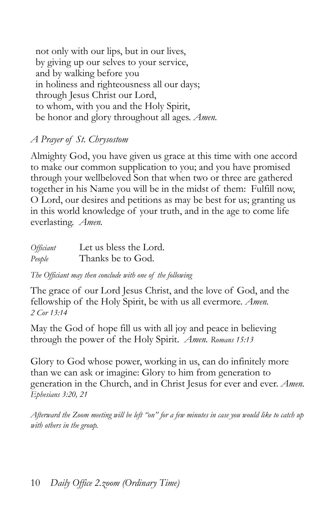not only with our lips, but in our lives, by giving up our selves to your service, and by walking before you in holiness and righteousness all our days; through Jesus Christ our Lord, to whom, with you and the Holy Spirit, be honor and glory throughout all ages. *Amen.* 

#### *A Prayer of St. Chrysostom*

Almighty God, you have given us grace at this time with one accord to make our common supplication to you; and you have promised through your wellbeloved Son that when two or three are gathered together in his Name you will be in the midst of them: Fulfill now, O Lord, our desires and petitions as may be best for us; granting us in this world knowledge of your truth, and in the age to come life everlasting. *Amen.*

| Officiant | Let us bless the Lord. |
|-----------|------------------------|
| People    | Thanks be to God.      |

*The Officiant may then conclude with one of the following*

The grace of our Lord Jesus Christ, and the love of God, and the fellowship of the Holy Spirit, be with us all evermore. *Amen. 2 Cor 13:14*

May the God of hope fill us with all joy and peace in believing through the power of the Holy Spirit. *Amen. Romans 15:13*

Glory to God whose power, working in us, can do infinitely more than we can ask or imagine: Glory to him from generation to generation in the Church, and in Christ Jesus for ever and ever. *Amen. Ephesians 3:20, 21*

*Afterward the Zoom meeting will be left "on" for a few minutes in case you would like to catch up with others in the group.*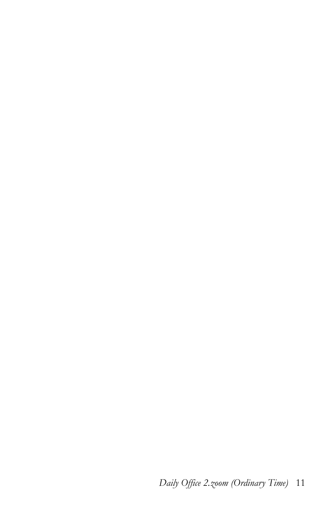*Daily Office 2.zoom (Ordinary Time)* 11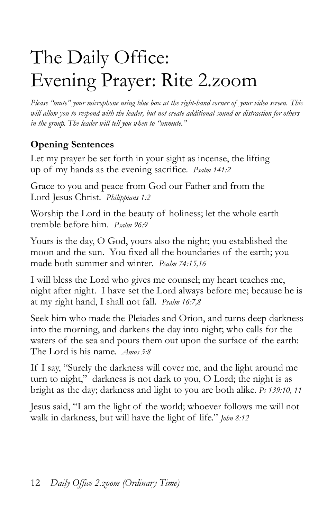# The Daily Office: Evening Prayer: Rite 2.zoom

*Please "mute" your microphone using blue box at the right-hand corner of your video screen. This will allow you to respond with the leader, but not create additional sound or distraction for others in the group. The leader will tell you when to "unmute."*

## **Opening Sentences**

Let my prayer be set forth in your sight as incense, the lifting up of my hands as the evening sacrifice. *Psalm 141:2*

Grace to you and peace from God our Father and from the Lord Jesus Christ. *Philippians 1:2*

Worship the Lord in the beauty of holiness; let the whole earth tremble before him. *Psalm 96:9*

Yours is the day, O God, yours also the night; you established the moon and the sun. You fixed all the boundaries of the earth; you made both summer and winter. *Psalm 74:15,16*

I will bless the Lord who gives me counsel; my heart teaches me, night after night. I have set the Lord always before me; because he is at my right hand, I shall not fall. *Psalm 16:7,8*

Seek him who made the Pleiades and Orion, and turns deep darkness into the morning, and darkens the day into night; who calls for the waters of the sea and pours them out upon the surface of the earth: The Lord is his name. *Amos 5:8*

If I say, "Surely the darkness will cover me, and the light around me turn to night," darkness is not dark to you, O Lord; the night is as bright as the day; darkness and light to you are both alike. *Ps 139:10, 11*

Jesus said, "I am the light of the world; whoever follows me will not walk in darkness, but will have the light of life." *John 8:12*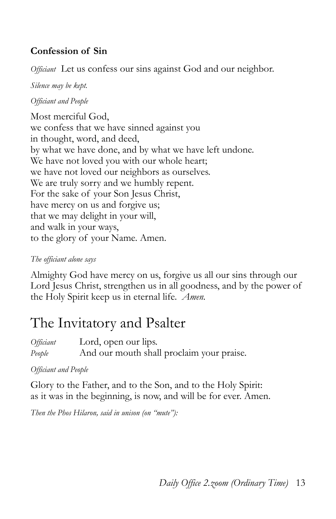## **Confession of Sin**

*Officiant* Let us confess our sins against God and our neighbor.

*Silence may be kept.*

#### *Officiant and People*

Most merciful God, we confess that we have sinned against you in thought, word, and deed, by what we have done, and by what we have left undone. We have not loved you with our whole heart; we have not loved our neighbors as ourselves. We are truly sorry and we humbly repent. For the sake of your Son Jesus Christ, have mercy on us and forgive us; that we may delight in your will, and walk in your ways, to the glory of your Name. Amen.

#### *The officiant alone says*

Almighty God have mercy on us, forgive us all our sins through our Lord Jesus Christ, strengthen us in all goodness, and by the power of the Holy Spirit keep us in eternal life. *Amen.*

# The Invitatory and Psalter

| Officiant | Lord, open our lips.                      |
|-----------|-------------------------------------------|
| People    | And our mouth shall proclaim your praise. |

#### *Officiant and People*

Glory to the Father, and to the Son, and to the Holy Spirit: as it was in the beginning, is now, and will be for ever. Amen.

*Then the Phos Hilaron, said in unison (on "mute"):*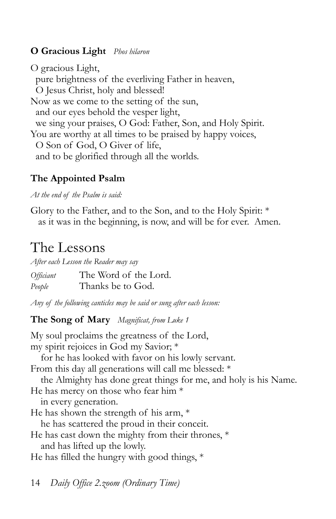#### **O Gracious Light** *Phos hilaron*

O gracious Light, pure brightness of the everliving Father in heaven, O Jesus Christ, holy and blessed! Now as we come to the setting of the sun, and our eyes behold the vesper light, we sing your praises, O God: Father, Son, and Holy Spirit. You are worthy at all times to be praised by happy voices, O Son of God, O Giver of life, and to be glorified through all the worlds.

#### **The Appointed Psalm**

*At the end of the Psalm is said:*

Glory to the Father, and to the Son, and to the Holy Spirit: \* as it was in the beginning, is now, and will be for ever. Amen.

# The Lessons

*After each Lesson the Reader may say*

| <i>Officiant</i> | The Word of the Lord. |
|------------------|-----------------------|
| People           | Thanks be to God.     |

*Any of the following canticles may be said or sung after each lesson:*

**The Song of Mary** *Magnificat, from Luke 1*

My soul proclaims the greatness of the Lord, my spirit rejoices in God my Savior; \* for he has looked with favor on his lowly servant. From this day all generations will call me blessed: \* the Almighty has done great things for me, and holy is his Name. He has mercy on those who fear him \* in every generation. He has shown the strength of his arm, \* he has scattered the proud in their conceit. He has cast down the mighty from their thrones, \* and has lifted up the lowly. He has filled the hungry with good things, \*

14 *Daily Office 2.zoom (Ordinary Time)*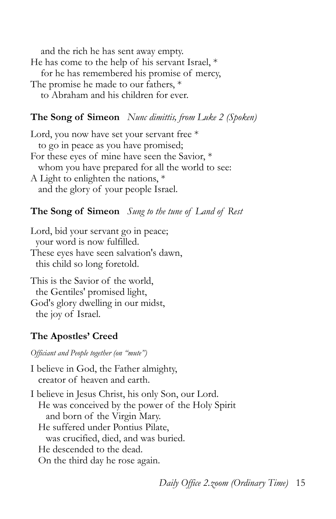and the rich he has sent away empty. He has come to the help of his servant Israel, \* for he has remembered his promise of mercy, The promise he made to our fathers, \* to Abraham and his children for ever.

#### **The Song of Simeon** *Nunc dimittis, from Luke 2 (Spoken)*

Lord, you now have set your servant free \* to go in peace as you have promised; For these eyes of mine have seen the Savior, \* whom you have prepared for all the world to see: A Light to enlighten the nations, \* and the glory of your people Israel.

#### **The Song of Simeon** *Sung to the tune of Land of Rest*

Lord, bid your servant go in peace; your word is now fulfilled. These eyes have seen salvation's dawn, this child so long foretold.

This is the Savior of the world, the Gentiles' promised light, God's glory dwelling in our midst, the joy of Israel.

#### **The Apostles' Creed**

*Officiant and People together (on "mute")*

I believe in God, the Father almighty, creator of heaven and earth.

I believe in Jesus Christ, his only Son, our Lord. He was conceived by the power of the Holy Spirit and born of the Virgin Mary. He suffered under Pontius Pilate, was crucified, died, and was buried. He descended to the dead. On the third day he rose again.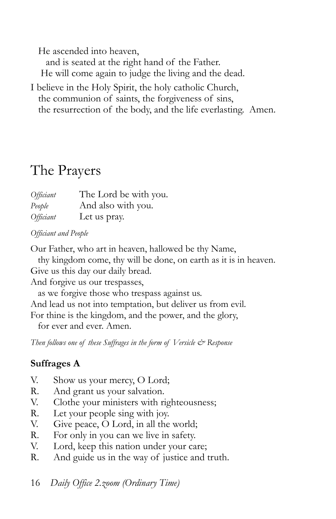He ascended into heaven, and is seated at the right hand of the Father. He will come again to judge the living and the dead.

I believe in the Holy Spirit, the holy catholic Church, the communion of saints, the forgiveness of sins, the resurrection of the body, and the life everlasting. Amen.

# The Prayers

| <i>Officiant</i> | The Lord be with you. |
|------------------|-----------------------|
| People           | And also with you.    |
| Officiant        | Let us pray.          |

*Officiant and People*

Our Father, who art in heaven, hallowed be thy Name,

thy kingdom come, thy will be done, on earth as it is in heaven.

Give us this day our daily bread.

And forgive us our trespasses,

as we forgive those who trespass against us.

And lead us not into temptation, but deliver us from evil.

For thine is the kingdom, and the power, and the glory,

for ever and ever. Amen.

*Then follows one of these Suffrages in the form of Versicle*  $\breve{c}$  *Response* 

# **Suffrages A**

- V. Show us your mercy, O Lord;
- R. And grant us your salvation.
- V. Clothe your ministers with righteousness;
- R. Let your people sing with joy.
- V. Give peace, O Lord, in all the world;
- R. For only in you can we live in safety.
- V. Lord, keep this nation under your care;
- R. And guide us in the way of justice and truth.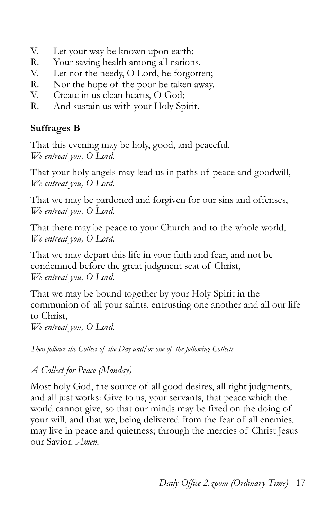- V. Let your way be known upon earth;
- R. Your saving health among all nations.
- V. Let not the needy, O Lord, be forgotten;
- R. Nor the hope of the poor be taken away.
- V. Create in us clean hearts, O God;
- R. And sustain us with your Holy Spirit.

# **Suffrages B**

That this evening may be holy, good, and peaceful, *We entreat you, O Lord.*

That your holy angels may lead us in paths of peace and goodwill, *We entreat you, O Lord*.

That we may be pardoned and forgiven for our sins and offenses, *We entreat you, O Lord*.

That there may be peace to your Church and to the whole world, *We entreat you, O Lord*.

That we may depart this life in your faith and fear, and not be condemned before the great judgment seat of Christ, *We entreat you, O Lord*.

That we may be bound together by your Holy Spirit in the communion of all your saints, entrusting one another and all our life to Christ, *We entreat you, O Lord.*

*Then follows the Collect of the Day and/or one of the following Collects*

# *A Collect for Peace (Monday)*

Most holy God, the source of all good desires, all right judgments, and all just works: Give to us, your servants, that peace which the world cannot give, so that our minds may be fixed on the doing of your will, and that we, being delivered from the fear of all enemies, may live in peace and quietness; through the mercies of Christ Jesus our Savior. *Amen.*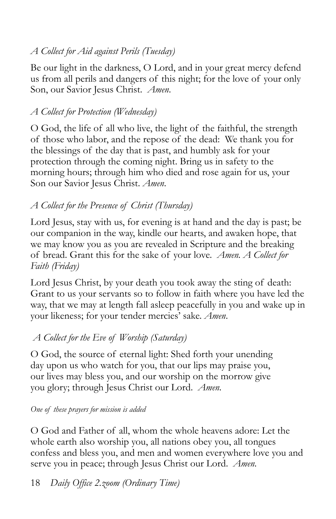# *A Collect for Aid against Perils (Tuesday)*

Be our light in the darkness, O Lord, and in your great mercy defend us from all perils and dangers of this night; for the love of your only Son, our Savior Jesus Christ. *Amen*.

# *A Collect for Protection (Wednesday)*

O God, the life of all who live, the light of the faithful, the strength of those who labor, and the repose of the dead: We thank you for the blessings of the day that is past, and humbly ask for your protection through the coming night. Bring us in safety to the morning hours; through him who died and rose again for us, your Son our Savior Jesus Christ. *Amen*.

# *A Collect for the Presence of Christ (Thursday)*

Lord Jesus, stay with us, for evening is at hand and the day is past; be our companion in the way, kindle our hearts, and awaken hope, that we may know you as you are revealed in Scripture and the breaking of bread. Grant this for the sake of your love. *Amen. A Collect for Faith (Friday)*

Lord Jesus Christ, by your death you took away the sting of death: Grant to us your servants so to follow in faith where you have led the way, that we may at length fall asleep peacefully in you and wake up in your likeness; for your tender mercies' sake. *Amen*.

# *A Collect for the Eve of Worship (Saturday)*

O God, the source of eternal light: Shed forth your unending day upon us who watch for you, that our lips may praise you, our lives may bless you, and our worship on the morrow give you glory; through Jesus Christ our Lord. *Amen.*

## *One of these prayers for mission is added*

O God and Father of all, whom the whole heavens adore: Let the whole earth also worship you, all nations obey you, all tongues confess and bless you, and men and women everywhere love you and serve you in peace; through Jesus Christ our Lord. *Amen.*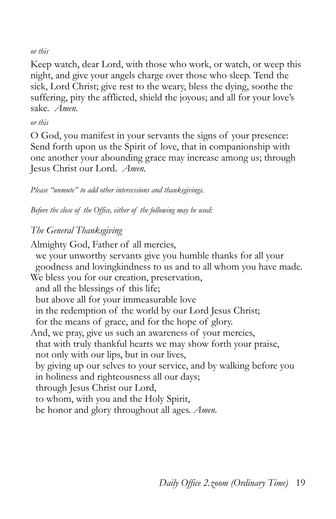#### *or this*

Keep watch, dear Lord, with those who work, or watch, or weep this night, and give your angels charge over those who sleep. Tend the sick, Lord Christ; give rest to the weary, bless the dying, soothe the suffering, pity the afflicted, shield the joyous; and all for your love's sake. *Amen.*

#### *or this*

O God, you manifest in your servants the signs of your presence: Send forth upon us the Spirit of love, that in companionship with one another your abounding grace may increase among us; through Jesus Christ our Lord. *Amen.*

*Please "unmute" to add other intercessions and thanksgivings.*

*Before the close of the Office, either of the following may be used:*

#### *The General Thanksgiving*

Almighty God, Father of all mercies, we your unworthy servants give you humble thanks for all your goodness and loving kindness to us and to all whom you have made. We bless you for our creation, preservation, and all the blessings of this life; but above all for your immeasurable love in the redemption of the world by our Lord Jesus Christ; for the means of grace, and for the hope of glory. And, we pray, give us such an awareness of your mercies, that with truly thankful hearts we may show forth your praise, not only with our lips, but in our lives, by giving up our selves to your service, and by walking before you in holiness and righteousness all our days; through Jesus Christ our Lord, to whom, with you and the Holy Spirit, be honor and glory throughout all ages. *Amen.*